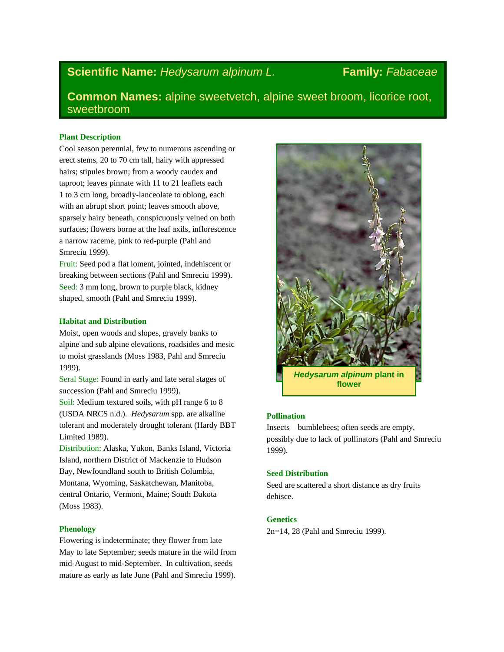# **Scientific Name:** *Hedysarum alpinum L.* Family: *Fabaceae*

**Common Names:** alpine sweetvetch, alpine sweet broom, licorice root, sweetbroom

### **Plant Description**

Cool season perennial, few to numerous ascending or erect stems, 20 to 70 cm tall, hairy with appressed hairs; stipules brown; from a woody caudex and taproot; leaves pinnate with 11 to 21 leaflets each 1 to 3 cm long, broadly-lanceolate to oblong, each with an abrupt short point; leaves smooth above, sparsely hairy beneath, conspicuously veined on both surfaces; flowers borne at the leaf axils, inflorescence a narrow raceme, pink to red-purple (Pahl and Smreciu 1999).

Fruit: Seed pod a flat loment, jointed, indehiscent or breaking between sections (Pahl and Smreciu 1999). Seed: 3 mm long, brown to purple black, kidney shaped, smooth (Pahl and Smreciu 1999).

#### **Habitat and Distribution**

Moist, open woods and slopes, gravely banks to alpine and sub alpine elevations, roadsides and mesic to moist grasslands (Moss 1983, Pahl and Smreciu 1999).

Seral Stage: Found in early and late seral stages of succession (Pahl and Smreciu 1999).

Soil: Medium textured soils, with pH range 6 to 8 (USDA NRCS n.d.). *Hedysarum* spp. are alkaline tolerant and moderately drought tolerant (Hardy BBT Limited 1989).

Distribution: Alaska, Yukon, Banks Island, Victoria Island, northern District of Mackenzie to Hudson Bay, Newfoundland south to British Columbia, Montana, Wyoming, Saskatchewan, Manitoba, central Ontario, Vermont, Maine; South Dakota (Moss 1983).

## **Phenology**

Flowering is indeterminate; they flower from late May to late September; seeds mature in the wild from mid-August to mid-September. In cultivation, seeds mature as early as late June (Pahl and Smreciu 1999).



#### **Pollination**

Insects – bumblebees; often seeds are empty, possibly due to lack of pollinators (Pahl and Smreciu 1999).

#### **Seed Distribution**

Seed are scattered a short distance as dry fruits dehisce.

#### **Genetics**

2n=14, 28 (Pahl and Smreciu 1999).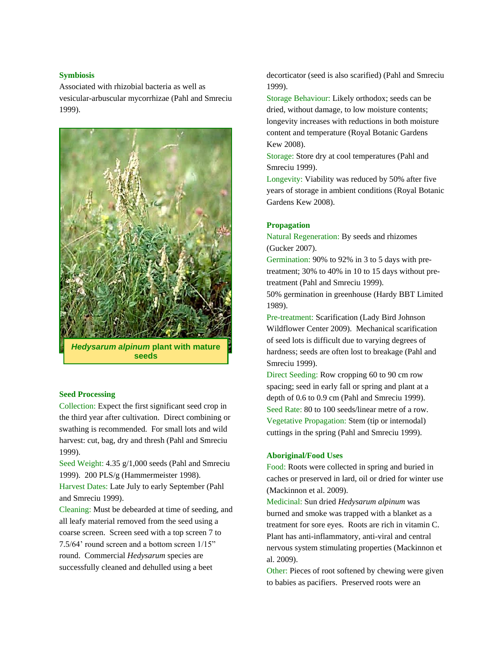#### **Symbiosis**

Associated with rhizobial bacteria as well as vesicular-arbuscular mycorrhizae (Pahl and Smreciu 1999).



## **Seed Processing**

Collection: Expect the first significant seed crop in the third year after cultivation. Direct combining or swathing is recommended. For small lots and wild harvest: cut, bag, dry and thresh (Pahl and Smreciu 1999).

Seed Weight: 4.35 g/1,000 seeds (Pahl and Smreciu 1999). 200 PLS/g (Hammermeister 1998).

Harvest Dates: Late July to early September (Pahl and Smreciu 1999).

Cleaning: Must be debearded at time of seeding, and all leafy material removed from the seed using a coarse screen. Screen seed with a top screen 7 to 7.5/64' round screen and a bottom screen 1/15" round. Commercial *Hedysarum* species are successfully cleaned and dehulled using a beet

decorticator (seed is also scarified) (Pahl and Smreciu 1999).

Storage Behaviour: Likely orthodox; seeds can be dried, without damage, to low moisture contents; longevity increases with reductions in both moisture content and temperature (Royal Botanic Gardens Kew 2008).

Storage: Store dry at cool temperatures (Pahl and Smreciu 1999).

Longevity: Viability was reduced by 50% after five years of storage in ambient conditions (Royal Botanic Gardens Kew 2008).

#### **Propagation**

Natural Regeneration: By seeds and rhizomes (Gucker 2007).

Germination: 90% to 92% in 3 to 5 days with pretreatment; 30% to 40% in 10 to 15 days without pretreatment (Pahl and Smreciu 1999).

50% germination in greenhouse (Hardy BBT Limited 1989).

Pre-treatment: Scarification (Lady Bird Johnson Wildflower Center 2009). Mechanical scarification of seed lots is difficult due to varying degrees of hardness; seeds are often lost to breakage (Pahl and Smreciu 1999).

Direct Seeding: Row cropping 60 to 90 cm row spacing; seed in early fall or spring and plant at a depth of 0.6 to 0.9 cm (Pahl and Smreciu 1999). Seed Rate: 80 to 100 seeds/linear metre of a row. Vegetative Propagation: Stem (tip or internodal) cuttings in the spring (Pahl and Smreciu 1999).

#### **Aboriginal/Food Uses**

Food: Roots were collected in spring and buried in caches or preserved in lard, oil or dried for winter use (Mackinnon et al. 2009).

Medicinal: Sun dried *Hedysarum alpinum* was burned and smoke was trapped with a blanket as a treatment for sore eyes. Roots are rich in vitamin C. Plant has anti-inflammatory, anti-viral and central nervous system stimulating properties (Mackinnon et al. 2009).

Other: Pieces of root softened by chewing were given to babies as pacifiers. Preserved roots were an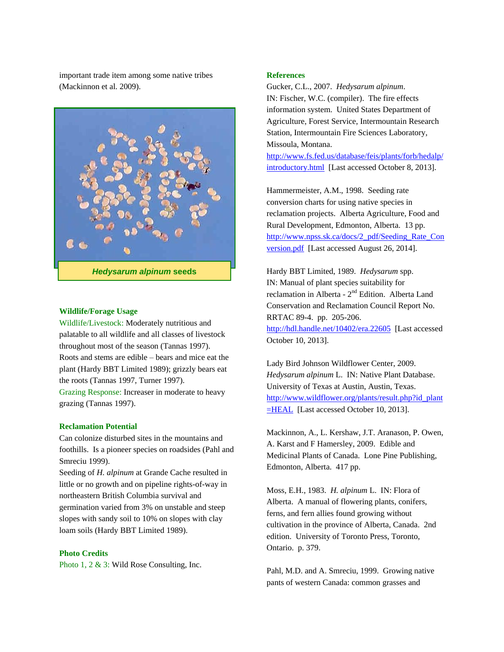important trade item among some native tribes (Mackinnon et al. 2009).



#### **Wildlife/Forage Usage**

Wildlife/Livestock: Moderately nutritious and palatable to all wildlife and all classes of livestock throughout most of the season (Tannas 1997). Roots and stems are edible – bears and mice eat the plant (Hardy BBT Limited 1989); grizzly bears eat the roots (Tannas 1997, Turner 1997). Grazing Response: Increaser in moderate to heavy

#### **Reclamation Potential**

grazing (Tannas 1997).

Can colonize disturbed sites in the mountains and foothills. Is a pioneer species on roadsides (Pahl and Smreciu 1999).

Seeding of *H. alpinum* at Grande Cache resulted in little or no growth and on pipeline rights-of-way in northeastern British Columbia survival and germination varied from 3% on unstable and steep slopes with sandy soil to 10% on slopes with clay loam soils (Hardy BBT Limited 1989).

#### **Photo Credits**

Photo 1, 2 & 3: Wild Rose Consulting, Inc.

#### **References**

Gucker, C.L., 2007. *Hedysarum alpinum*. IN: Fischer, W.C. (compiler). The fire effects information system. United States Department of Agriculture, Forest Service, Intermountain Research Station, Intermountain Fire Sciences Laboratory, Missoula, Montana.

[http://www.fs.fed.us/database/feis/plants/forb/hedalp/](http://www.fs.fed.us/database/feis/plants/forb/hedalp/introductory.html) [introductory.html](http://www.fs.fed.us/database/feis/plants/forb/hedalp/introductory.html) [Last accessed October 8, 2013].

Hammermeister, A.M., 1998. Seeding rate conversion charts for using native species in reclamation projects. Alberta Agriculture, Food and Rural Development, Edmonton, Alberta. 13 pp. [http://www.npss.sk.ca/docs/2\\_pdf/Seeding\\_Rate\\_Con](http://www.npss.sk.ca/docs/2_pdf/Seeding_Rate_Conversion.pdf) [version.pdf](http://www.npss.sk.ca/docs/2_pdf/Seeding_Rate_Conversion.pdf) [Last accessed August 26, 2014].

Hardy BBT Limited, 1989. *Hedysarum* spp. IN: Manual of plant species suitability for reclamation in Alberta - 2<sup>nd</sup> Edition. Alberta Land Conservation and Reclamation Council Report No. RRTAC 89-4. pp. 205-206. <http://hdl.handle.net/10402/era.22605>[Last accessed October 10, 2013].

Lady Bird Johnson Wildflower Center, 2009. *Hedysarum alpinum* L. IN: Native Plant Database. University of Texas at Austin, Austin, Texas. [http://www.wildflower.org/plants/result.php?id\\_plant](http://www.wildflower.org/plants/result.php?id_plant=HEAL) [=HEAL](http://www.wildflower.org/plants/result.php?id_plant=HEAL) [Last accessed October 10, 2013].

Mackinnon, A., L. Kershaw, J.T. Aranason, P. Owen, A. Karst and F Hamersley, 2009. Edible and Medicinal Plants of Canada. Lone Pine Publishing, Edmonton, Alberta. 417 pp.

Moss, E.H., 1983. *H. alpinum* L. IN: Flora of Alberta. A manual of flowering plants, conifers, ferns, and fern allies found growing without cultivation in the province of Alberta, Canada. 2nd edition. University of Toronto Press, Toronto, Ontario. p. 379.

Pahl, M.D. and A. Smreciu, 1999. Growing native pants of western Canada: common grasses and